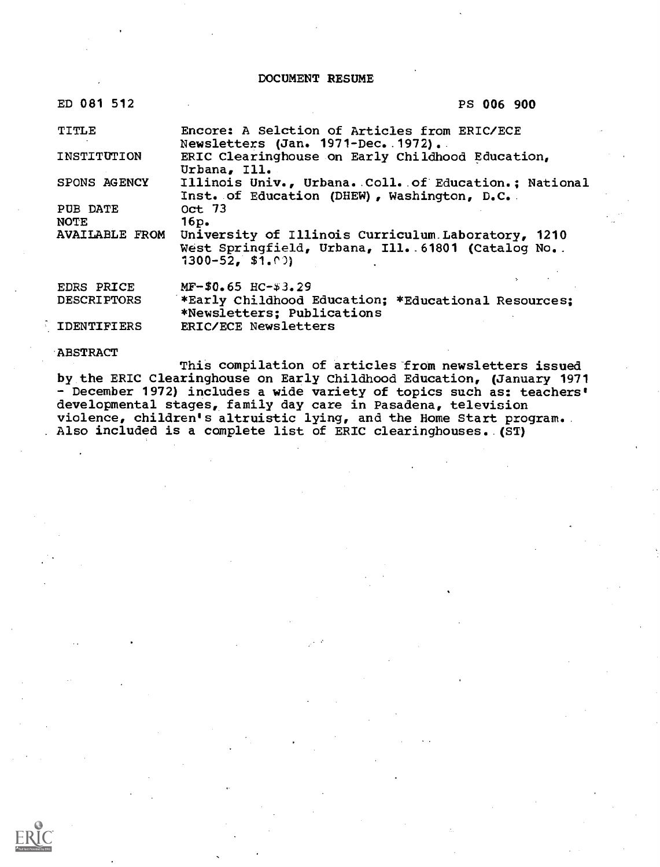DOCUMENT RESUME

| ED 081 |  |  |  | ∍ |  | 12 |  |
|--------|--|--|--|---|--|----|--|
|--------|--|--|--|---|--|----|--|

### PS 006 900

| TITLE                            | Encore: A Selction of Articles from ERIC/ECE<br>Newsletters (Jan. 1971-Dec. 1972).                                                 |  |
|----------------------------------|------------------------------------------------------------------------------------------------------------------------------------|--|
| INSTITUTION                      | ERIC Clearinghouse on Early Childhood Education,<br>Urbana, Ill.                                                                   |  |
| SPONS AGENCY                     | Illinois Univ., Urbana. Coll. of Education.; National<br>Inst. of Education (DHEW), Washington, D.C.                               |  |
| PUB DATE<br><b>NOTE</b>          | 0ct 73<br>16p.                                                                                                                     |  |
| <b>AVAILABLE FROM</b>            | University of Illinois Curriculum Laboratory, 1210<br>West Springfield, Urbana, Ill. 61801 (Catalog No. .<br>$1300 - 52$ , \$1,00) |  |
| EDRS PRICE<br><b>DESCRIPTORS</b> | $MF-$0.65$ HC-\$3.29<br>*Early Childhood Education; *Educational Resources;<br>*Newsletters; Publications                          |  |

IDENTIFIERS ERIC/ECE Newsletters

### **ABSTRACT**

This compilation of articles from newsletters issued by the ERIC Clearinghouse on Early Childhood Education, (January 1971 - December 1972) includes a wide variety of topics such as: teachers' developmental stages, family day care in Pasadena, television violence, children's altruistic lying, and the Home Start program. Also included is a complete list of ERIC clearinghouses. (ST)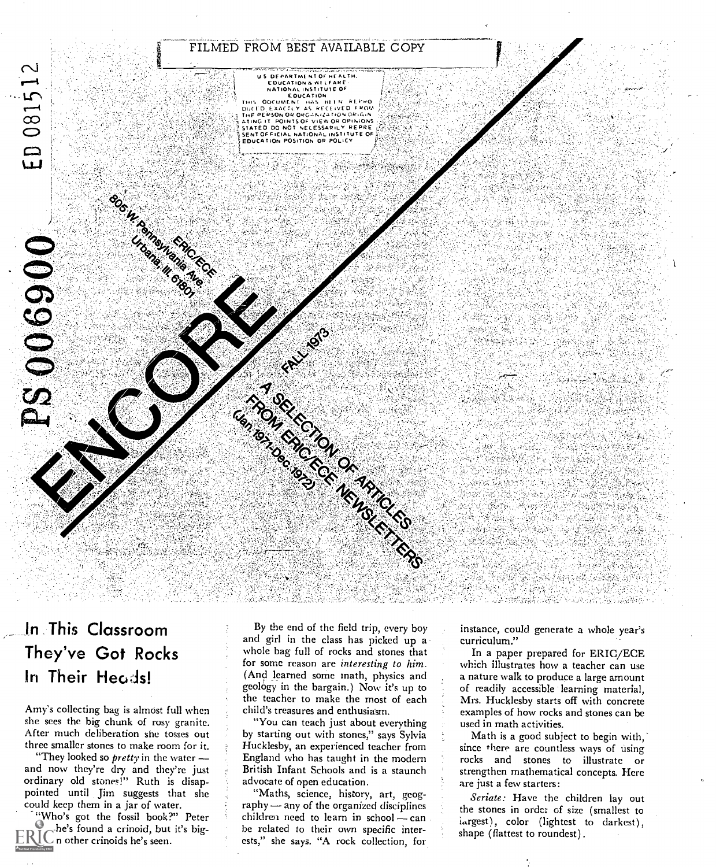

# In This Classroom They've Got Rocks In Their Heods!

Amy's collecting bag is almost full when she sees the big chunk of rosy granite. After much deliberation she tosses out three smaller stones to make room for it.

"They looked so  $\text{prefix}$  in the water  $$ and now they're dry and they're just ordinary old stones!" Ruth is disappointed until Jim suggests that she could keep them in a jar of water.

"Who's got the fossil book?" Peter  $th$ he's found a crinoid, but it's big- $ERIC$  n other crinoids he's seen.

By the end of the field trip, every boy and girl in the class has picked up a whole bag full of rocks and stones that for some reason are interesting to him. (And learned some math, physics and geology in the bargain.) Now it's up to the teacher to make the most of each child's treasures and enthusiasm.

"You can teach just about everything by starting out with stones," says Sylvia Hucklesby, an experienced teacher from England who has taught in the modern British Infant Schools and is a staunch advocate of open education.

"Maths, science, history, art, geog $r$ aphy  $-$  any of the organized disciplines children need to learn in school  $\sim$  can he related to their own specific interests," she says. "A rock collection, for

instance, could generate a whole year's curriculum."

In a paper prepared for ERIC/ECE which illustrates how a teacher can use a nature walk to produce a large amount of readily accessible learning material, Mrs. Hucklesby starts off with concrete examples of how rocks and stones can be used in math activities.

Math is a good subject to begin with,' since there are countless ways of using rocks and stones to illustrate or strengthen mathematical concepts. Here are just a few starters:

Seriate: Have the children lay out the stones in ordct of size (smallest to largest), color (lightest to darkest), shape (flattest to roundest).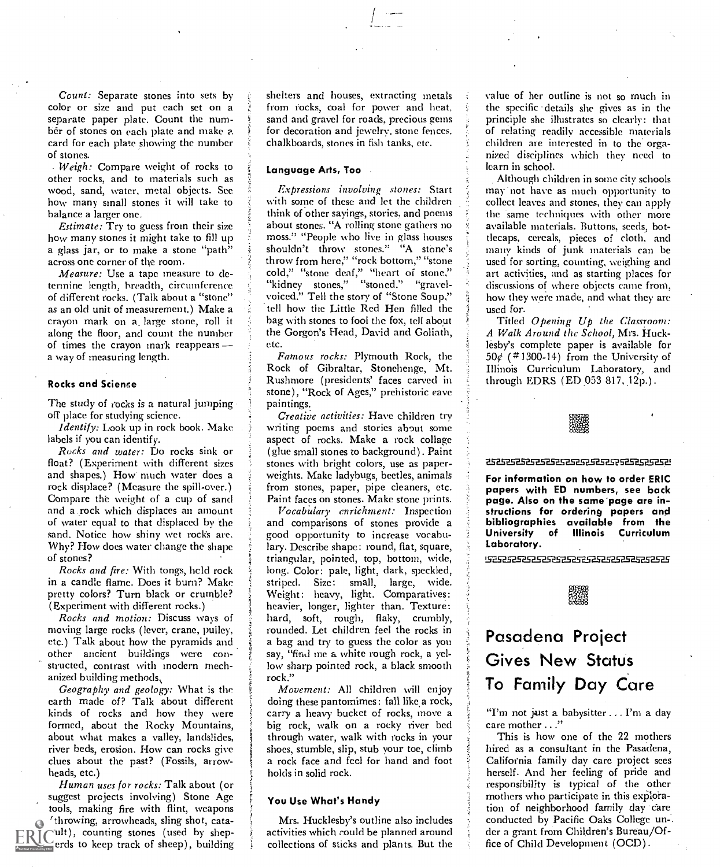Count: Separate stones into sets by color or size and put each set on a separate paper plate. Count the number of stones on each plate and make a card for each plate showing the number of stones.

Weigh: Compare weight of rocks to other rocks, and to materials such as wood, sand, water, metal objects. See how many small stones it will take to balance a larger one.

Estimate: Try to guess from their size how many stones it might take to fill up a glass jar, or to make a stone "path" across one corner of the room.

Measure: Use a tape measure to determine length, breadth, circumference of different rocks. (Talk about a "stone" as an old unit of measurement.) Make a crayon mark on a, large stone, roll it along the floor, and count the number of times the crayon mark reappears a way of measuring length.

### Rocks and Science

The study of rocks is a natural jumping off place for studying science.

*Identify*: Look up in rock book. Make labels if you can identify.

Rocks and water: Do rocks sink or float? (Experiment with different sizes and shapes.) How much water does a rock displace? (Measure the spill-over.) Compare the weight of a cup of sand and a rock which displaces an amount of water equal to that displaced by the sand. Notice how shiny wet rocks are. Why? How does water change the shape of stones?

Rocks and fire: With tongs, held rock in a candle flame. Does it burn? Make pretty colors? Turn black or crumble? (Experiment with different rocks.)

Rocks and motion: Discuss ways of moving large rocks (lever, crane, pulley, etc.) Talk about how the pyramids and other ancient buildings were constructed, contrast with modern mechanized building methods,

Geography and geology: What is the earth made of? Talk about different kinds of rocks and how they were formed, about the Rocky Mountains, about what makes a valley, landslides, river beds, erosion. How can rocks give clues about the past? (Fossils, arrowheads, etc.)

Human uses for rocks: Talk about (or suggest projects involving) Stone Age tools, making fire with flint, weapons (throwing, arrowheads, sling shot, catault), counting stones (used by sheperds to keep track of sheep), building shelters and houses, extracting metals from rocks, coal for power and heat. sand and gravel for roads, precious gems for decoration and jewelry. stone fences. chalkboards, stones in fish tanks, etc.

### Language Arts, Too

Expressions involving stones: Start with some of these and let the children think of other sayings, stories, and poems about stones. "A rolling stone gathers no moss." "People who live in glass houses shouldn't throw stones." "A stone's throw from here," "rock bottom," "stone cold," "stone deaf," "heart of stone," "kidney stones," "stoned." "gravelvoiced." Tell the story of "Stone Soup," tell how the Little Red Hen filled the hag with stones to fool the fox, tell about the Gorgon's Head, David and Goliath, etc.

Famous rocks: Plymouth Rock, the Rock of Gibraltar, Stonehenge, Mt. Rushmore (presidents' faces carved in stone), "Rock of Ages," prehistoric cave paintings.

Creative activities: Have children try writing poems and stories about some aspect of rocks. Make a rock collage (glue small stones to background). Paint stones with bright colors, use as paperweights. Make ladybugs, beetles, animals from stones, paper, pipe cleaners, etc. Paint faces on stones. Make stone prints.

Vocabulary enrichment: Inspection and comparisons of stones provide a solid bibliograp good opportunity to increase vocabulary. Describe shape: round, flat, square, triangular, pointed, top, bottom, wide, long. Color: pale, light, dark, speckled, striped. Size: small, large, wide. Weight: heavy, light. Comparatives: heavier, longer, lighter than. Texture: hard, soft, rough, flaky, crumbly, rounded. Let children feel the rocks in a bag and try to guess the color as you say, "find me a white rough rock, a yellow sharp pointed rock, a black smooth rock."

tt i

Movement: All children will enjoy doing these pantomimes: fall like a rock, carry a heavy bucket of rocks, move a big rock, walk on a rocky river bed through water, walk with rocks in your shoes, stumble, slip, stub your toe, climb a rock face and feel for hand and foot holds in solid rock.

### You Use What's Handy

Mrs. Hucklesby's outline also includes activities which could be planned around collections of sticks and plants. But the value of her outline is not so much in the specific details she gives as in the principle she illustrates so clearly: that of relating readily accessible materials children are interested in to the organized disciplines which they need to learn in school.

Although children in some city schools may not have as much opportunity to collect leaves and stones, they can apply the same techniques with other more available materials. Buttons, seeds, bottlecaps, cereals, pieces of cloth, and many kinds of junk materials can be used for sorting, counting, weighing and art activities, and as starting places for discussions of where objects came from, how they were made, and what they are used for.

Titled Opening Up the Classroom: A Walk Around the School, Mrs. Hucklesby's complete paper is available for  $50\frac{1}{2}$  (#1300-14) from the University of Illinois Curriculum Laboratory, and through EDRS (ED 053 817,  $12p.$ ).

### 52525.25-Em

For information on how to order ERIC papers with ED numbers, see back page. Also on the same-page are instructions for ordering papers and bibliographies available from the of Illinois Curriculum Laboratory.

**STEPS CONTRESPERSED PROPERTY OF A STRIP SERIES AND STRIP SERIES SERIES SERIES SERIES SERIES SERIES SERIES SERI** 



# Pasadena Project Gives New Status To Family Day Care

"I'm not just a babysitter . . I'm a day care mother ..."

This is how one of the 22 mothers hired as a consultant in the Pasadena, California family day care project sees herself. And her feeling of pride and responsibility is typical of the other mothers who participate in this exploration of neighborhood family day care conducted by Pacific Oaks College un-. der a grant from Children's Bureau/Office of Child Development (OCD).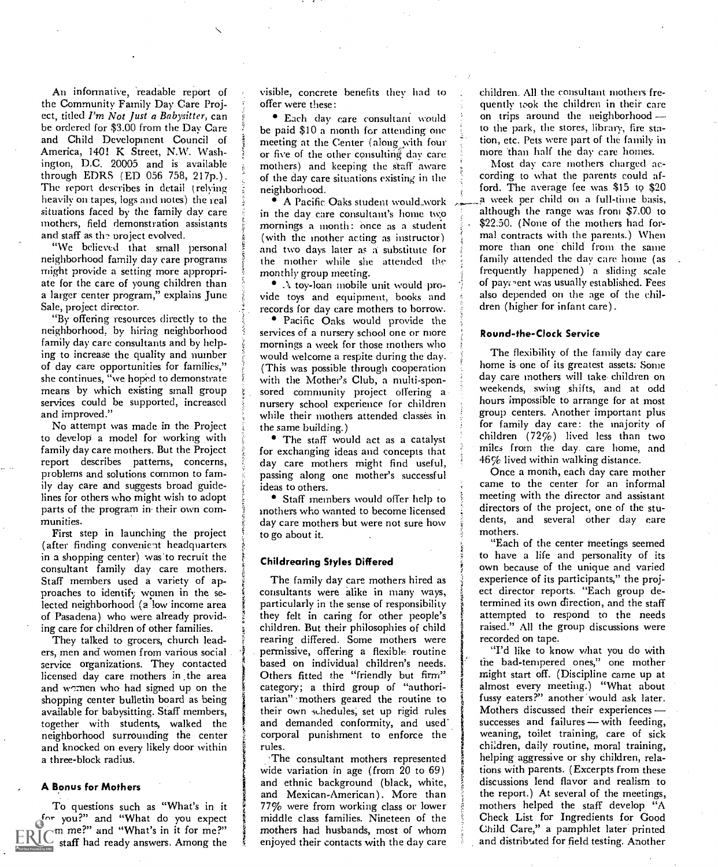An informative, readable report of the Community Family Day Care Project, titled I'm Not Just a Babysitter, can be ordered for \$3.00 from the Day Care and Child Development Council of America, 1401 K Street, N.W. Washington, D.C. 20005 and is available through EDRS (ED 056 758, 217p.) . The report describes in detail (relying heavily on tapes, logs and notes) the real situations faced by the family day care mothers, field demonstration assistants and staff as the project evolved.

"We believed that small personal neighborhood family day care programs might provide a setting more appropriate for the care of young children than a larger center program," explains June Sale, project director.

"By offering resources directly to the neighborhood, by hiring neighborhood family day care consultants and by helping to increase the quality and number of day care opportunities for families," she continues, "we hoped to demonstrate means by which existing small group services could he supported, increased and improved."

No attempt was made in the Project to develop a model for working with family day care mothers. But the Project report describes patterns, concerns, problems and solutions common to family day care and suggests broad guidelines for others who might wish to adopt parts of the program in their own communities.

First step in launching the project (after finding convenient headquarters in a shopping center) was to recruit the consultant family day care mothers. Staff members used a variety of approaches to identify women in the selected neighborhood (a low income area of Pasadena) who were already providing care for children of other families.

They talked to grocers, church leaders, men and women from various social service organizations. They contacted a based on individual children's needs.<br>licensed day care mothers in the area development fitted the "friendly but firm" licensed day care mothers in the area and women who had signed up on the shopping center bulletin board as being available for babysitting. Staff members, together with students, walked the neighborhood surrounding the center and knocked on every likely door within a three-block radius.

### A Bonus for Mothers

To questions such as "What's in it for you?" and "What do you expect  $f$  m me?" and "What's in it for me?" staff had ready answers. Among the  $\frac{1}{2}$  eng

visible, concrete benefits they had to offer were these:

Each day care consultant would be paid \$10 a month for attending one meeting at the Center (along with four or five of the other consulting day care mothers) and keeping the staff aware of the day care situations existing in the neighborhood.

in the day care consultant's home two mornings a month: once as a student (with the mother acting as instructor) and two days later as a substitute for the mother while she attended the monthly group meeting.

toy-loan mobile unit would provide toys and equipment, books and records for day care mothers to borrow.

Pacific Oaks would provide the services of a nursery school one or more mornings a week for those mothers who would welcome a respite during the day. (This was possible through cooperation with the Mother's Club, a multi-sponsored community project offering a nursery school experience for children while their mothers attended classes in the same building.)

The staff would act as a catalyst for exchanging ideas and concepts that day care mothers might find useful, passing along one mother's successful ideas to others.

Staff members would offer help to mothers who wanted to become licensed day care mothers but were not sure how to go about it.

### Childrearing Styles Differed

The family day care mothers hired as consultants were alike in many ways, particularly in the sense of responsibility they felt in caring for other people's children. But their philosophies of child rearing differed. Some mothers were permissive, offering a flexible routine based on individual children's needs. category; a third group of "authoritarian" mothers geared the routine to their own schedules, set up rigid rules and demanded conformity, and used corporal punishment to enforce the rules.

The consultant mothers represented wide variation in age (from 20 to 69) and ethnic background (black, white, and Mexican-American). More than 77% were from working class or lower middle class families. Nineteen of the mothers had husbands, most of whom enjoyed their contacts with the day care children. All the consultant mothers frequently wok the children in their care on trips around the neighborhood --to the park, the stores, library, fire station, etc. Pets were part of the family in more than half the day care homes.

A Pacific Oaks student would work a week per child on a full-time basis,<br>the day care consultant's home two although the range was from \$7.00 to Most day care mothers charged according to what the parents could afford. The average fee was \$15 to \$20 a week per child on a full-time basis, \$22.50. (None of the mothers had formal contracts with the parents.) When more than one child from the same family attended the day care home (as frequently happened) a sliding scale of pay; ent was usually established. Fees also depended on the age of the children (higher for infant care).

### Round-the-Clock Service

The flexibility of the family day care home is one of its greatest assets: Some day care mothers will take children on weekends, swing shifts, and at odd hours impossible to arrange for at most group centers. Another important plus for family day care: the majority of children (72%) lived less than two miles from the day care home, and 46% lived within walking distance.

Once a month, each day care mother came to the center for an informal meeting with the director and assistant directors of the project, one of the students, and several other day care mothers.

"Each of the center meetings seemed to have a life and personality of its own because of the unique and varied experience of its participants," the project director reports. "Each group determined its own direction, and the staff attempted to respond to the needs raised." All the group discussions were recorded on tape.

"I'd like to know what you do with the bad-tempered ones," one mother might start off. (Discipline came up at almost every meeting.) "What about fussy eaters?" another would ask later. Mothers discussed their experiences successes and failures - with feeding, weaning, toilet training, care of sick children, daily routine, moral training, helping aggressive or shy children, relations with parents. (Excerpts from these discussions lend flavor and realism to the report.) At several of the meetings, mothers helped the staff develop "A Check List for Ingredients for Good Child Care," a pamphlet later printed and distributed for field testing. Another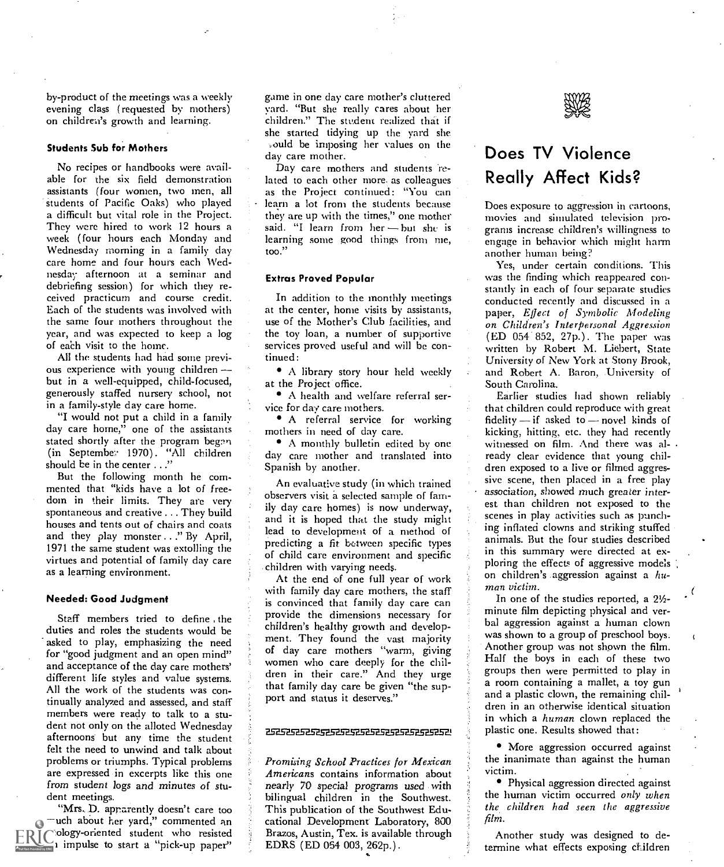by-product of the meetings was a weekly evening class (requested by mothers) on children's growth and learning.

### Students Sub for Mothers

No recipes or handbooks were available for the six field demonstration assistants (four women, two men, all students of Pacific Oaks) who played a difficult but vital role in the Project. They were hired to work 12 hours a week ( four hours each Monday and Wednesday morning in a family day care home and four hours each Wednesday afternoon at a seminar and debriefing session) for which they received practicurn and course credit. Each of the students was involved with the same four mothers throughout the year, and was expected to keep a log of each visit to the home.

All the students had had some previous experience with young children but in a well-equipped, child-focused, generously staffed nursery school, not in a family-style day care home.

"I would not put a child in a family day care home," one of the assistants<br>stated shortly after the program began (in Septembe; 1970). "All children should be in the center ..."

But the following month he commented that "kids have a lot of freedom in their limits. They are very spontaneous and creative ... They build in the way care nomes) is now underway, houses and tents out of chairs and coats and they play monster ..." By April, 1971 the same student was extolling the virtues and potential of family day care as a learning environment.

### Needed: Good Judgment

Staff members tried to define the duties and roles the students would be<br>asked to play emphasizing the peed in ment. They found the vast majority asked to play, emphasizing the need for "good judgment and an open mind" and acceptance of the day care mothers' different life styles and value systems. All the work of the students was continually analyzed and assessed, and staff members were ready to talk to a student not only on the alloted Wednesday<br>
and the contract of the contract of the contract of the contract of the contract of the contract of the contract of the contract of the contract of the contract of the contract of th afternoons but any time the student felt the need to unwind and talk about problems or triumphs. Typical problems are expressed in excerpts like this one from student logs and minutes of student meetings.

"Mrs. D. aprarently doesn't care too much about her yard," commented an ology-oriented student who resisted 1 impulse to start a "pick-up paper"

game in one day care mother's cluttered yard. "But she really cares about her children." The student realized that if she started tidying up the yard she ould be imposing her values on the day care mother.

Day care mothers and students 'related to each other more. as colleagues as the Project continued: "You can learn a lot from the students because they are up with the times," one mother said. "I learn from her - but she is learning some good things from me, too."

### Extras Proved Popular

In addition to the monthly meetings at the center, home visits by assistants, use of the Mother's Club facilities, and the toy loan, a number of supportive services proved useful and will be continued:

A library story hour held weekly at the Project office.

A health and welfare referral service for day care mothers.

A referral service for working mothers in need of day care.

A monthly bulletin edited by one day care mother and translated into Spanish by another.

An evaluative study (in which trained observers visit a selected sample of family day care homes) is now underway, lead to development of a method of predicting a fit between specific types of child care environment and specific children with varying needs.

At the end of one full year of work with family day care mothers, the staff is convinced that family day care can provide the dimensions necessary for children's healthy growth and developof day care mothers "warm, giving women who care deeply for the children in their care." And they urge that family day care be given "the support and status it deserves."

Promising School Practices for Mexican Americans contains information about nearly 70 special programs used with bilingual children in the Southwest. This publication of the Southwest Educational Development Laboratory, 800 Brazos, Austin, Tex. is available through EDRS (ED 054 003, 262p.).

# Does TV Violence Really Affect Kids?

Does exposure to aggression in cartoons, movies and simulated television programs increase children's willingness to engage in behavior which might harm another human being?

Yes, under certain conditions. This was the finding which reappeared constantly in each of four separate studies conducted recently and discussed in a paper, Effect of Symbolic Modeling on Children's Interpersonal Aggression (ED 054' 852, 27p.). The paper was written by Robert M. Liebert, State University of New York at Stony Brook, and Robert A. Baron, University of South Carolina.

Earlier studies had shown reliably that children could reproduce with great fidelity  $-$  if asked to  $-$  novel kinds of kicking, hitting, etc. they had recently witnessed on film. And there was already clear evidence that young children exposed to a live or filmed aggressive scene, then placed in a free play association, showed much greater interest than children not exposed to the scenes in play activities such as punching inflated clowns and striking stuffed animals. But the four studies described in this summary were directed at exploring the effects of aggressive models on children's aggression against a  $hu$ man victim.

In one of the studies reported, a  $2\frac{1}{2}$ minute film depicting physical and verbal aggression against a human clown was shown to a group of preschool boys. Another group was not shown the film. Half the boys in each of these two groups then were permitted to play in a room containing a mallet, a toy gun and a plastic clown, the remaining children in an otherwise identical situation in which a human clown replaced the plastic one. Results showed that:

More aggression occurred against the inanimate than against the human victim.

Physical aggression directed against the human victim occurred only when the children had seen the aggressive film.

Another study was designed to determine what effects exposing children

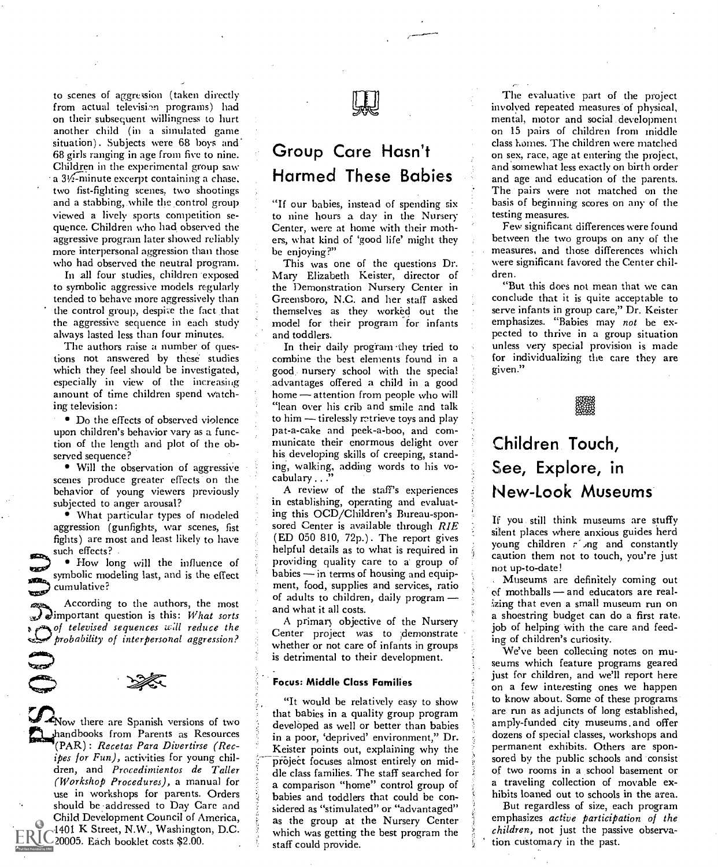to scenes of aggression (taken directly from actual television programs) had on their subsequent willingness to hurt another child (in a simulated game situation). Subjects were 68 boys and 68 girls ranging in age from five to nine. Children in the experimental group saw a 31/2-minute excerpt containing a chase, two fist-fighting scenes, two shootings and a stabbing, while the control group viewed a lively sports competition sequence. Children who had observed the aggressive program later showed reliably more interpersonal aggression than those who had observed the neutral program.

In all four studies, children exposed to symbolic aggressive models regularly tended to behave more aggressively than the control group, despite the fact that the aggressive sequence in each study always lasted less than four minutes.

The authors raise a number of questions not answered by these studies which they feel should be investigated, especially in view of the increasing amount of time children spend watching television:

Do the effects of observed violence upon children's behavior vary as a function of the length and plot of the observed sequence?

• Will the observation of aggressive scenes produce greater effects on the behavior of young viewers previously subjected to anger arousal?

What particular types of modeled aggression (gunfights, war scenes, fist fights) are most and least likely to have such effects? .<br>• How long will the influence of

symbolic modeling last, and is the effect cumulative?

According to the authors, the most  $\mathcal{F}$  elimportant question is this: What sorts of televised sequences will reduce the probability of interpersonal aggression?



ر<br>تاريخ

Now there are Spanish versions of two handbooks from Parents as Resources  $\P$ (PAR): Recetas Para Divertirse (Recipes for Fun), activities for young children, and Procedimientos de Taller (Workshop Procedures), a manual for use in workshops for parents. Orders should be addressed to Day Care and Child Development Council of America, 1401 K Street, N.W., Washington, D.C. 20005. Each booklet costs \$2.00.



### Group Care Hasn't Harmed These Babies

"If our babies, instead of spending six to nine hours a day in the Nursery Center, were at home with their mothers, what kind of 'good life' might they be enjoying?"

This was one of the questions Dr. Mary Elizabeth Keister, director of the Demonstration Nursery Center in Greensboro, N.C. and her staff asked themselves as they worked out the model for their program for infants and toddlers.

In their daily program they tried to combine the best elements found in a good. nursery school with the special advantages offered a child in a good home — attention from people who will "lean over his crib and smile and talk to him  $-$  tirelessly retrieve toys and play pat-a-cake and peek-a-boo, and communicate their enormous delight over his developing skills of creeping, standing, walking, adding words to his vocabulary ..."

A review of the staff's experiences in establishing, operating and evaluating this OCD/Children's Bureau-sponsored Center is available through RIE (ED 050 810, 72p.) . The report gives helpful details as to what is required in providing quality care to a group of  $b$ abies  $\frac{1}{2}$  in terms of housing and equipment, food, supplies and services, ratio of adults to children, daily program and what it all costs.

A primary objective of the Nursery Center project was to demonstrate whether or not care of infants in groups is detrimental to their development.

### Focus: Middle Class Families

"It would be relatively easy to show that babies in a quality group program developed as well or better than babies in a poor, 'deprived' environment," Dr. Keister points out, explaining why the project focuses almost entirely on middle class families. The staff searched for a comparison "home" control group of babies and toddlers that could be considered as "stimulated" or "advantaged" as the group at the Nursery Center which was getting the best program the staff could provide.

The evaluative part of the project involved repeated measures of physical, mental, motor and social development on 15 pairs of children from middle class homes. The children were matched on sex, race, age at entering the project, and somewhat less exactly on birth order and age and education of the parents. The pairs were not matched on the basis of beginning scores on any of the testing measures.

Few significant differences were found between the two groups on any of the measures, and those differences which were significant favored the Center children.

"But this does not mean that we can conclude that it is quite acceptable to serve infants in group care," Dr. Keister emphasizes. "Babies may not be expected to thrive in a group situation unless very special provision is made for individualizing the care they are given."

.<br>SS243

# Children. Touch, See, Explore, in New-Look Museums

If you still think museums are stuffy silent places where anxious guides herd young children  $r'$  ng and constantly caution them not to touch, you're just not up-to-date!

Museums are definitely coming out  $of$  mothballs  $-$  and educators are realizing that even a small museum run on a shoestring budget can do a first rate, job of helping with the care and feeding of children's curiosity.

We've been collecting notes on museums which feature programs geared just for children, and we'll report here on a few interesting ones we happen to know about. Some of these programs are run as adjuncts of long established, amply-fianded city museums . and offer dozens of special classes, workshops and permanent exhibits. Others are sponsored by the public schools and consist of two rooms in a school basement or a traveling collection of movable exhibits loaned out to schools in the area.

But regardless of size, each program emphasizes active participation of the children, not just the passive observation customary in the past.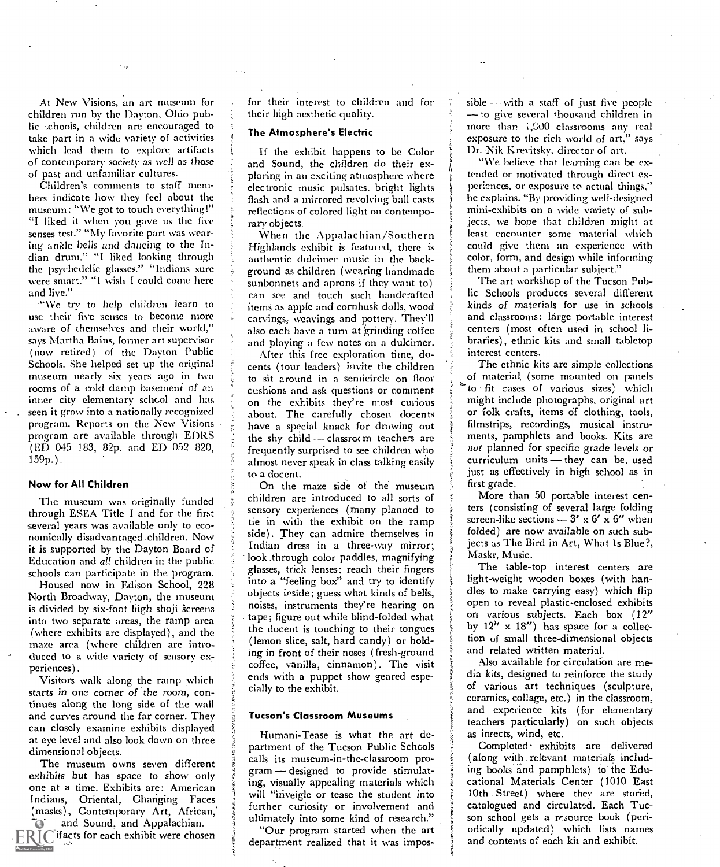At New Visions, an art museum for children run by the Dayton, Ohio public chools, children are encouraged to take part in a wide variety of activities which lead them to explore artifacts of contemporary society as well as those of past and unfamiliar cultures.

Children's comments to staff members indicate how they feel about the museum: "We got to touch everything!" "I liked it when you gave us the five senses test." "My favorite part was wearing ankle bells and dancing to the Indian drum." "I liked looking through the psychedelic glasses." "Indians sure were smart." "I wish I could come here and live."

"We try to help children learn to use their five senses to become more aware of themselves and their world," says Martha Bains, former art supervisor (now retired) of the Dayton Public Schools. She helped set up the original museum nearly six years ago in two rooms of a cold damp basement of an inner city elementary school and has seen it grow into a nationally recognized program. Reports on the New Visions program are available through EDRS (ED 045 183, 82p. and ED 052 820, 159p.).

### Now for All Children

The museum was originally funded through ESEA Title I and for the first several years was available only to economically disadvantaged children. Now it is supported by the Dayton Board of Education and all children in the public. schools can participate in the program.

Housed now in Edison School, 228 North Broadway, Dayton, the museum is divided by six-foot high shoji screens into two separate areas, the ramp area (where exhibits are displayed), and the maze area (where children are introduced to a wide variety of sensory experiences).

Visitors walk along the ramp which starts in one corner of the room, continues along the long side of the wall and curves around the far corner. They can closely examine exhibits displayed at eye level and also look down on three dimensional objects.

The museum owns seven different exhibits but has space to show only one at a time. Exhibits are: American Indians, Oriental, Changing Faces (masks), Contemporary Art, African,' and Sound, and Appalachian.

 $\mathbb{R} \mathbb{T}$  ifacts for each exhibit were chosen

for their interest to children and for their high aesthetic quality.

### The Atmosphere's Electric

If the exhibit happens to be Color and Sound, the children do their exploring in an exciting atmosphere where electronic music pulsates, bright lights flash and a mirrored revolving ball casts reflections of colored light on contemporary objects.

When the Appalachian/Southern Highlands exhibit is featured, there is authentic dulcimer music in the background as children (wearing handmade sunbonnets and aprons if they want to) can see and touch such handcrafted items as apple and cornhusk dolls, wood carvings; weavings and pottery. They'll also each have a turn at 'grinding coffee and playing a few notes on a dulcimer.

After this free exploration time, docents (tour leaders) invite the children to sit around in a semicircle on floor cushions and ask questions or comment on the exhibits they're most curious about. The carefully chosen docents have a special knack for drawing out the shy child  $-$  classrot m teachers are frequently surprised to see children who almost never speak in class talking easily to a docent.

On the maze side of the museum children are introduced to all sorts of sensory experiences (many planned to tie in with the exhibit on the ramp side). They can admire themselves in Indian dress in a three-way mirror; look .through color paddles, magnifying glasses, trick lenses; reach their fingers into a "feeling box" and try to identify objects inside; guess what kinds of bells, noises, instruments they're hearing on tape; figure out while blind-folded what the docent is touching to their tongues (lemon slice, salt, hard candy) or holding in front of their noses (fresh-ground coffee, vanilla, cinnamon). The visit ends with a puppet show geared especially to the exhibit.

### Tucson's Classroom Museums

Humani-Tease is what the art department of the Tucson Public Schools calls its museum-in-the-classroom program - designed to provide stimulating, visually appealing materials which will "inveigle or tease the student into further curiosity or involvement and ultimately into some kind of research."

"Our program started when the art department realized that it was impos $sible$  - with a staff of just five people — to give several thousand children in more than i,GOO classrooms any real exposure to the rich world of art," says Dr. Nik Krevitskv, director of art.

"We believe that learning can be extended or motivated through direct experiences, or exposure to actual things," he explains. "By providing well- designed mini-exhibits on a wide variety of subjects, we hope that children might at least encounter some material which could give them an experience with color, form, and design while informing them about a particular subject."

The art workshop of the Tucson Public Schools produces several different kinds of materials for use in schools and classrooms: large portable interest centers (most often used in school libraries), ethnic kits and small tabletop interest centers.

The ethnic kits are simple collections of material, (some mounted on panels to fit cases of various sizes) which might include photographs, original art or folk crafts, items of clothing, tools, filmstrips, recordings, musical instruments, pamphlets and books. Kits are not planned for specific grade levels or curriculum units - they can be, used just as effectively in high school as in first grade.

More than 50 portable interest centers (consisting of several large folding screen-like sections  $-3' \times 6' \times 6''$  when folded) are now available on such subjects as The Bird in Art, What Is Blue?, Masks, Music.

The table-top interest centers are light-weight wooden boxes (with handles to make carrying easy) which flip open to reveal plastic-enclosed exhibits on various subjects. Each box (12" by  $12'' \times 18''$ ) has space for a collection of small three-dimensional objects and related written material.

Also available for circulation are media kits, designed to reinforce the study of various art techniques (sculpture, ceramics, collage, etc.) in the classroom, and experience kits (for elementary teachers particularly) on such objects as insects, wind, etc.

Completed- exhibits are delivered (along with \_ relevant materials including books and pamphlets) to the Educational Materials Center (1010 East 10th Street) where they are stored, catalogued and circulated. Each Tucson school gets a resource book (periodically updated) which lists names and contents of each kit and exhibit.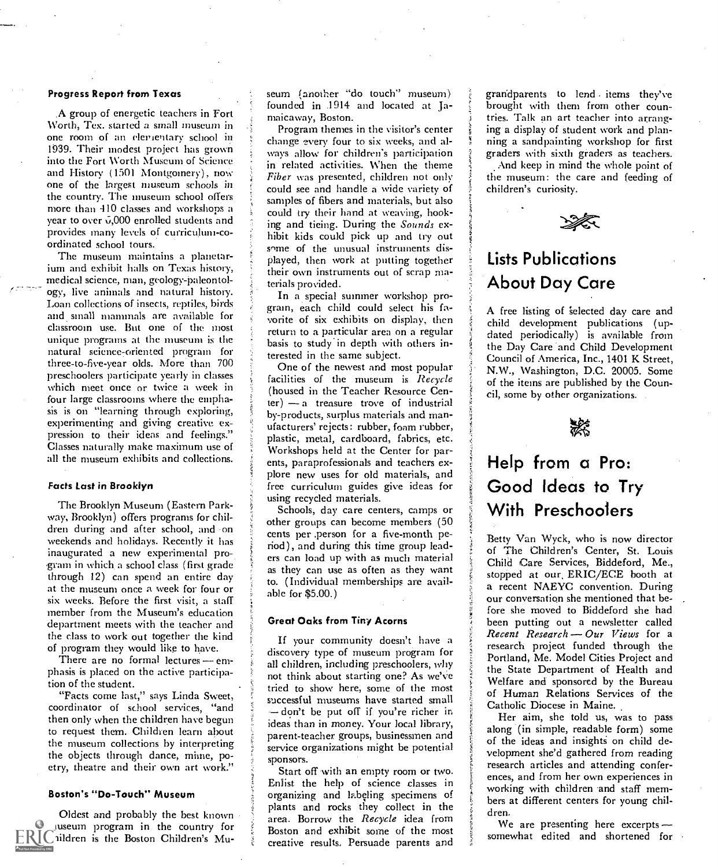### Progress Report from Texas

,A group of energetic teachers in Fort Worth, Tex. started a small museum in one room of an elementary school in 1939. Their modest project has grown into the Fort Worth Museum of Science and History (1501 Montgomery), now one of the largest museum schools in the country. The museum school offers more than 410 classes and workshops a year to over  $\vec{v}$ ,000 enrolled students and provides many levels of curriculum-coordinated school tours.

The museum maintains a planetarium and exhibit halls on Texas history, medical science, man, geology-paleontology, live animals and natural history. Loan collections of insects, reptiles, birds and small mammals are available for classroom use. But one of the most unique programs at the museum is the natural science- oriented program for three-to-five-year olds. More than 700 preschoolers participate yearly in classes which meet once or twice a week in four large classrooms where the emphasis is on "learning through exploring, experimenting and giving creative expression to their ideas and feelings." Classes naturally make maximum use of all the museum exhibits and collections.

### Facts Last in Brooklyn

The Brooklyn Museum (Eastern Parkway, Brooklyn) offers programs for children during and after school, and on weekends and holidays. Recently it has inaugurated a new experimental program in which a school class (first grade through 12) can spend an entire day at the museum once a week for four or six weeks. Before the first visit, a staff member from the Museum's education department meets with the teacher and the class to work out together the kind of program they would like to have.

There are no formal lectures  $-$  emphasis is placed on the active participation of the student.

"Facts come last," says Linda Sweet, coordinator of school services, "and then only when the children have begun to request them. Children learn about the museum collections by interpreting the objects through dance, mime, poetry, theatre and their own art work."

### Boston's "Do-Touch" Museum

Oldest and probably the best known inuseum program in the country for ildren is the Boston Children's Museum (another "do touch" museum) } grandparents to lend items they've founded in .1914 and located at Jamaicaway, Boston.

Program themes in the visitor's center change every four to six weeks, and always allow for children's participation in related activities. When the theme Fiber was presented, children not only could see and handle a wide variety of samples of fibers and materials, but also could try their hand at weaving, hooking and tieing. During the Sounds exhibit kids could pick up and try out some of the unusual instruments displayed, then work at putting together their own instruments out of scrap materials provided.

In a special summer workshop program, each child could select his favorite of six exhibits on display, then return to a particular area on a regular basis to study in depth with others interested in the same subject.

One of the newest and most popular facilities of the museum is Recycle (housed in the Teacher Resource Cen $ter$ )  $-$  a treasure trove of industrial by-products, surplus materials and manufacturers' rejects: rubber, foam rubber, plastic, metal, cardboard, fabrics, etc. Workshops held at the Center for parents, paraprofessionals and teachers explore new uses for old materials, and free curriculum guides give ideas for using recycled materials.

Schools, day care centers, camps or other groups can become members (50 cents per .person for a five-month period), and during this time group leaders can load up with as much material as they can use as often as they want to. (Individual memberships are available for \$5.00.)

### Great Oaks from Tiny Acorns

If your community doesn't have a discovery type of museum program for all children, including preschoolers, why not think about starting one? As we've tried to show here, some of the most successful museums have started small - don't be put off if you're richer in ideas than in money. Your local library, parent-teacher groups, businessmen and service organizations might be potential sponsors.

Start off with an empty room or two. Enlist the help of science classes in organizing and labeling specimens of plants and rocks they collect in the area. Borrow the Recycle idea from Boston and exhibit some of the most creative results. Persuade parents and

brought with them from other countries. Talk an art teacher into arranging a display of student work and planning a sandpainting workshop for first graders with sixth graders as teachers.

And keep in mind the whole point of the museum: the care and feeding of children's curiosity.



### Lists Publications About Day Care

A free listing of selected day care and child development publications (updated periodically) is available from the Day Care and Child. Development Council of America, Inc., 1401 K Street, N.W., Washington, D.C. 20005. Some of the items are published by the Council, some by other organizations.



# Help from a Pro: Good Ideas to Try With Preschoolers

Betty Van Wyck, who is now director of The Children's Center, St. Louis Child Care Services, Biddeford, Me., stopped at our ERIC/ECE booth at a recent NAEYC convention. During our conversation she mentioned that before she moved to Biddeford she had been putting out a newsletter called Recent Research  $-$  Our Views for a research project funded through the Portland, Me. Model Cities Project and the State Department of Health and Welfare and sponsored by the Bureau of Human Relations Services of the Catholic Diocese in Maine.

Her aim, she told us, was to pass along (in simple, readable form) some of the ideas and insights on child development she'd gathered from reading research articles and attending conferences, and from her own experiences in working with children and staff members at different centers for young children.

We are presenting here excerpts somewhat edited and shortened for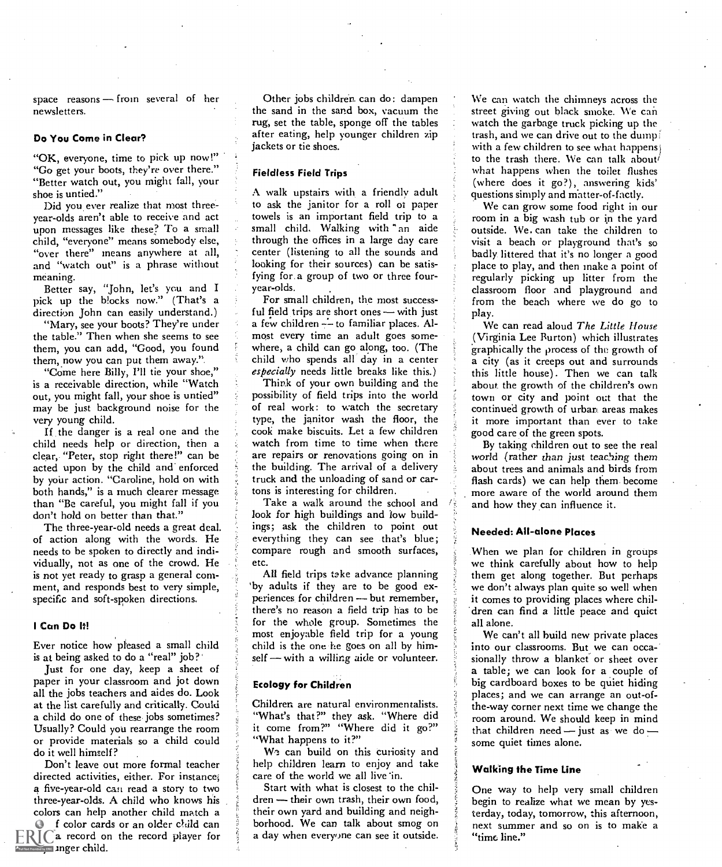space reasons  $-$  from several of her newsletters.

### Do You Come in Clear?

"OK, everyone, time to pick up now!" "Go get your boots, they're over there." "Better watch out, you might fall, your shoe is untied."

Did you ever realize that most threeyear-olds aren't able to receive and act upon messages like these? To a small child, "everyone" means somebody else, "over there" means anywhere at all, and "watch out" is a phrase without

meaning.<br>Better say, "John, let's you and I pick up the blocks now." (That's a direction John can easily understand.)

"Mary, see your boots? They're under the table." Then when she seems to see them, you can add, "Good, you found them, now you can put them away."

"Come here Billy, I'll tie your shoe," is a receivable direction, while "Watch out, you might fall, your shoe is untied" may be just background noise for the very young child.

If the danger is a real one and the child needs help or direction, then a clear, "Peter, stop right there!" can be acted upon by the child and enforced by your action. "Caroline, hold on with both hands," is a much clearer message than "Be careful, you might fall if you don't hold on better than that."

The three-year-old needs a great deal. of action along with the words. He needs to be spoken to directly and individually, not as one of the crowd. He is not yet ready to grasp a general comment, and responds best to very simple, specific and soft-spoken directions.

### I Can Do It!

Ever notice how pleased a small child is at being asked to do a "real" job?' Just for one day, keep a sheet of

paper in your classroom and jot down all the jobs teachers and aides do. Look at the list carefully and critically. Could a child do one of these jobs sometimes? Usually? Could you rearrange the room or provide materials so a child could do it well himself?

Don't leave out more formal teacher directed activities, either. For instance; a five-year-old can read a story to two three-year-olds. A child who knows his colors can help another child match a f color cards or an older child can  $ERICa$  record on the record player for **AND FINC** Inger child.

Other jobs children. can do: dampen the sand in the sand box, vacuum the rug, set the table, sponge off the tables after eating, help younger children zip jackets or tie shoes.

### Fieldless Field Trips

A walk upstairs with a friendly adult to ask the janitor for a roll of paper towels is an important field trip to a small child. Walking with "an aide through the offices in a large day care center (listening to all the sounds and looking for their sources) can be satisfying for a group of two or three fouryear-olds.

For small children, the most successful field trips are short ones  $-$  with just a few children -- to familiar places. Almost every time an adult goes somewhere, a child can go along, too. (The child who spends all day in a center especially needs little breaks like this.)

Think of your own building and the possibility of field trips into the world of real work: to watch the secretary type, the janitor wash the floor, the cook make biscuits. Let a few children watch from time to time when there are repairs or renovations going on in the building. The arrival of a delivery truck and the unloading of sand or cartons is interesting for children.

Take a walk around the school and look for high buildings and low buildings; ask the children to point out everything they can see that's blue; compare rough and smooth surfaces, etc.

All field trips take advance planning 'by adults if they are to be good experiences for children - but remember, there's no reason a field trip has to be for the whole group. Sometimes the most enjoyable field trip for a young child is the one he goes on all by him $self$  - with a willing aide or volunteer.

### Ecology for Children

Children are natural environmentalists. "What's that?" they ask. "Where did and the room it come from?" "Where did it go?" "What happens to it?"

We can build on this curiosity and help children learn to enjoy and take care of the world we all live in.

Start with what is closest to the children - their own trash, their own food, their own yard and building and neighborhood. We can talk about smog on a day when everyone can see it outside.

We can watch the chimneys across the street giving out black smoke. We can watch the garbage truck picking up the trash, and we can drive out to the dump; with a few children to see what happens) to the trash there. We can talk about/ what happens when the toilet flushes (where does it go?), answering kids' questions simply and matter-of-factly.

We can grow some food right in our room in a big wash tub or in the yard outside. We. can take the children to visit a beach or playground that's so badly littered that it's no longer a good place to play, and then make a point of regularly picking up litter from the classroom floor and playground and from the beach where we do go to play.

We can read aloud The Little House (Virginia Lee Burton) which illustrates graphically the process of the growth of a city (as it creeps out and surrounds this little house). Then we can talk about the growth of the children's own town or city and point out that the continued growth of urban. areas makes it more important than ever to take good care of the green spots.

By taking children out to see the real world (rather than just teaching them about trees and animals and birds from flash cards) we can help them. become more aware of the world around them and how they can influence it.

### Needed: All-alone Places

When we plan for children in groups we think carefully about how to help them get along together. But perhaps we don't always plan quite so well when it comes to providing places where children can find a little peace and quiet all alone.

We can't all build new private places into our classrooms. But we can occasionally throw a blanket or sheet over a table; we can look for a couple of big cardboard boxes to be quiet hiding places; and we can arrange an out-ofthe-way corner next time we change the room around. We should keep in mind that children need  $-$  just as we do  $$ some quiet times alone.

### Walking the Time Line

One way to help very small children begin to realize what we mean by yesterday, today, tomorrow, this afternoon, next summer and so on is to make a "time line."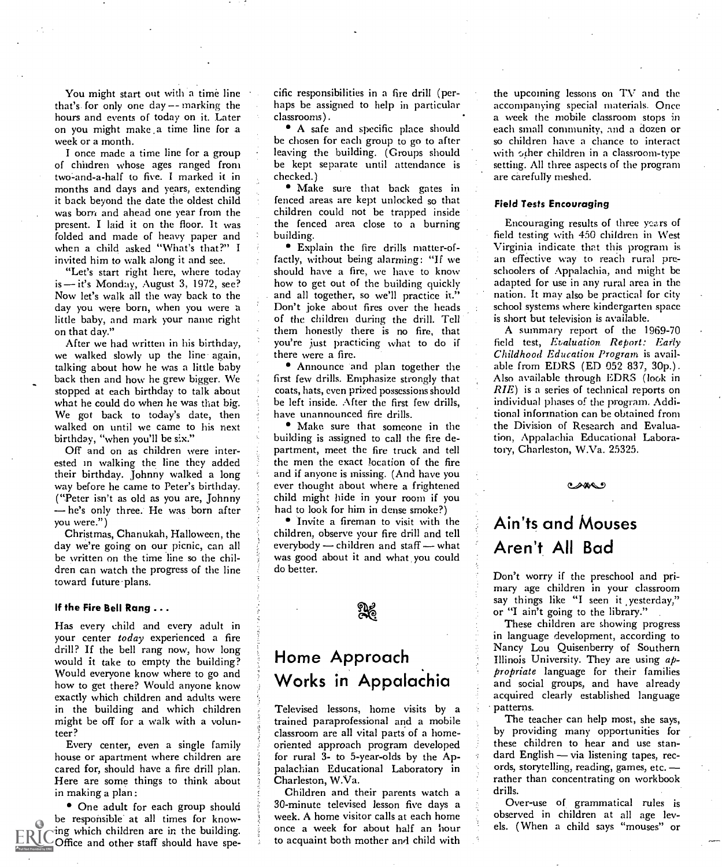You might start out with a time line that's. for only one day -- marking the hours and events of today on it. Later on you might make ,a. time line for a week or a month.

I once made a time line for a group of children whose ages ranged from two-and-a-half to five. I marked it in months and days and years, extending it back beyond the date the oldest child was born and ahead one year from the present. I laid it on the floor. It was folded and made of heavy paper and when a child asked "What's that?" I invited him to walk along it and see.

"Let's start right here, where today is - it's Monday, August 3, 1972, see? day you were born, when you were a little baby, and mark your name right on that day."

After we had written in his birthday, we walked slowly up the line again, talking about how he was a little baby back then and how he grew bigger. We stopped at each birthday to talk about what he could do when he was that big. We got back to today's date, then walked on until we came to his next birthday, "when you'll be six."

Off and on as children were interested in walking the line they added their birthday. Johnny walked a long way before he came to Peter's birthday. ("Peter isn't as old as you are, Johnny -he's only three. He was born after you were.")

Christmas, Chanukah, Halloween, the day we're going on our picnic, can all be written on the time line so the children can watch the progress of the line toward future-plans.

### If the Fire Bell Rang ...

Has every child and every adult in your center today experienced a fire drill? If the bell rang now, how long would it take to empty the building? Would everyone know where to go and how to get there? Would anyone know exactly which children and adults were in the building and which children might be off for a walk with a volunteer?

Every center, even a single family house or apartment where children are cared for, should have a fire drill plan. Here are some things to think about in making a plan:

• One adult for each group should be responsible at all times for knowing which children are in the building. Office and other staff should have specific responsibilities in a fire drill (perhaps be assigned to help in particular classrooms).

A safe and specific place should be chosen for each group to go to after leaving the building. (Groups should be kept separate until attendance is checked.)

Make sure that back gates in fenced areas are kept unlocked so that children could not be trapped inside the fenced area close to a burning building.

Now let's walk all the way back to the and all together, so we'll practice it."<br>day you were born, when you were a loop Don't joke about fires over the heads Explain the fire drills matter-offactly, without being alarming: "If we should have a fire, we have to know how to get out of the building quickly and all together, so we'll practice it." of the children during the drill. Tell them honestly there is no fire, that you're just practicing what to do if there were a fire.

> Announce and plan together the first few drills. Emphasize strongly that coats, hats, even prized possessions should be left inside. After the first few drills, have unannounced fire drills.

> Make sure that someone in the building is assigned to call the fire department, meet the fire truck and tell the men the exact location of the fire and if anyone is missing. (And have you ever thought about where a frightened child might hide in your room if you had to look for him in dense smoke?)

> Invite a fireman to visit with the children, observe your fire drill and tell everybody - children and staff - what was good about it and what, you could do better.

ႜ႘ၜၟ

### Home Approach Works in Appalachia

Televised lessons, home visits by a trained paraprofessional and a mobile classroom are all vital parts of a homeoriented approach program developed for rural 3- to 5-year-olds by the Appalachian Educational Laboratory in Charleston, W.Va.

Children and their parents watch a 30-minute televised lesson five days a week. A home visitor calls at each home once a week for about half an hour to acquaint both mother and child with the upcoming lessons on TV and the accompanying special materials. Once a week the mobile classroom stops in each small community, and a dozen or so children have a chance to interact with other children in a classroom-type setting. All three aspects of the program are carefully meshed.

### Field Tests Encouraging

Encouraging results of three years of field testing with 450 children in West Virginia indicate. that this program is an effective way to reach rural preschoolers of Appalachia, and might be adapted for use in any rural area in the nation. It may also be practical for city school systems where kindergarten space is short but television is available.

A summary report of the 1969-70 field test, Evaluation. Report: Early Childhood Education Program is available from EDRS (ED 052 837, 30p.). Also available through EDRS (look in RIE) is a series of technical reports on individual phases of the program. Additional information can be obtained from the Division of Research and Evaluation, Appalachia Educational Laboratory, Charleston, W.Va. 25325.

 $\bullet$ 

# Ain'ts and Mouses Aren't All Bad

Don't worry if the preschool and primary age children in your classroom say things like "I seen it yesterday," or "I ain't going to the library."

These children are showing progress in language development, according to Nancy Lou Quisenberry of Southern Illinois University. They are using  $a\psi$ propriate language for their families and social groups, and have already acquired clearly established language patterns.

The teacher can help most, she says, by providing many opportunities for these children to hear and use standard English  $-$  via listening tapes, records, storytelling, reading, games, etc. rather than concentrating on workbook drills.

Over-use of grammatical rules is observed in children at all age levels. (When a child says "mouses" or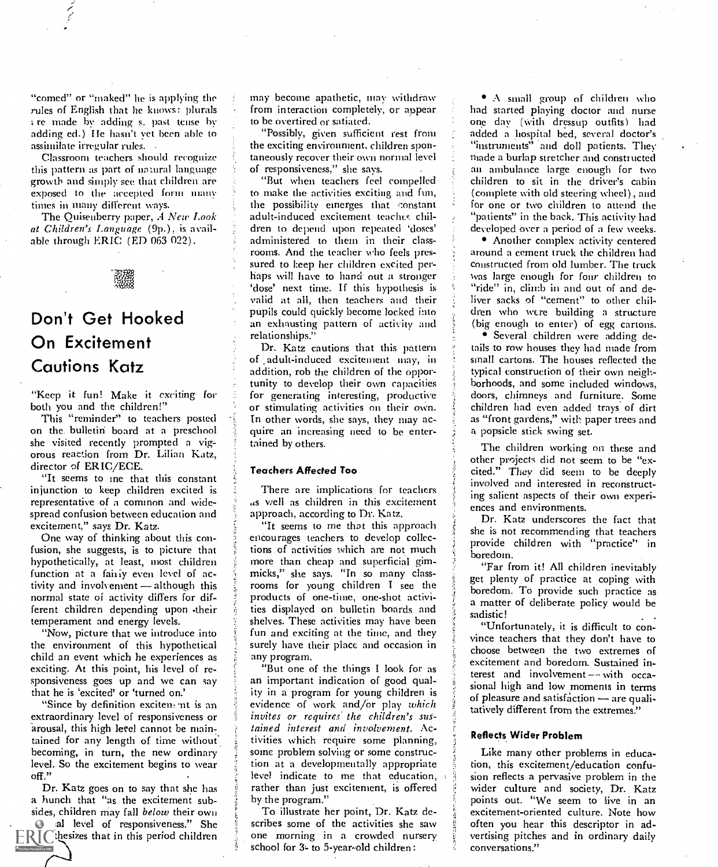"comed" or "maked" he is applying the rules of English that he knows: plurals k re made by adding s. past tense by adding ed.) He hasn't vet been able to assimilate irregular rules. .

Classroom teachers should recognize this pattern as part of natural language growth and simply see that children are exposed to the accepted form many times in many different ways.

The Ouisenberry paper, A New Look at Children's Language (9p.), is available through ERIC (ED 063 022).



# Don't Get Hooked On Excitement Cautions Katz

"Keep it fun! Make it exciting for both you and the children!"

This "reminder" to teachers posted on the bulletin board at a preschool she visited recently prompted a vigorous reaction from Dr. Lilian Katz, director of ERIC/ECE.

"It seems to me that this constant injunction to keep children excited is representative of a common and widespread confusion between education and excitement," says Dr. Katz.

One way of thinking about this confusion, she suggests, is to picture that hypothetically, at least, most children function at a fairly even level of activity and involvement - although this normal state of activity differs for different children depending upon -their temperament and energy levels.

"Now, picture that we introduce into the environment of this hypothetical child an event which he experiences as exciting. At this point, his level of responsiveness goes up and we can say that he is 'excited' or 'turned on.'

"Since by definition exciten, nt is an extraordinary level of responsiveness or arousal, this high level cannot be maintained for any length of time without becoming, in turn, the new ordinary level. So the excitement begins to wear off."

Dr. Katz goes on to say that she has a hunch that "as the excitement subsides, children may fall *below* their own

al level of responsiveness." She  $\text{ERIC}$  thesizes that in this period children may become apathetic, may withdraw from interaction completely, or appear a least had started playing doctor and nurse to be overtired or satiated.

"Possibly, given sufficient rest from the exciting environment, children spontaneously recover their own normal level of responsiveness," she says.

"But when teachers feel compelled to make the activities exciting and fun, the possibility emerges that constant adult-induced excitement teaches children to depend upon repeated 'doses' administered to them in their classrooms. And the teacher who feels pressured to l:eep her children excited perhaps will have to hand out a stronger `dose' next time. If this hypothesis is valid at all, then teachers and their pupils could quickly become locked into an exhausting pattern of activity and relationships."

Dr. Katz cautions that this pattern of adult-induced excitement may, in addition, rob the children of the opportunity to develop their own capacities for generating interesting, productive or stimulating activities on their own. In other words, she says, they may acquire an increasing need to be entertained by others.

### Teachers Affected Too

There are implications for teachers as well as children in this excitement approach, according to Dr. Katz.

"It seems to me that this approach encourages teachers to develop collections of activities which are not much more than cheap and superficial gimmicks," she says. "In so many classrooms for young children I see the products of one-time, one-shot activities displayed on bulletin boards and sadistic! shelves. These activities may have been fun and exciting at the time, and they surely have their place and occasion in any program.

"But one of the things I look for as an important indication of good quality in a program for young children is evidence of work and/Or play which invites or requires the children's sustained interest and involvement. Activities which require some planning, some problem solving or some construction at a developmentally appropriate level indicate to me that education, rather than just excitement, is offered by the program."

To illustrate her point, Dr. Katz describes some of the activities she saw one morning in a crowded nursery school for 3- to 5-year-old children:

.\ small group of children who one day (with dressup outfits) had added a hospital bed, several doctor's "instruments" and doll patients. They made a burlap stretcher and constructed au ambulance large enough for two children to sit in the driver's cabin (complete with old steering wheel)., and for one or two children to attend the "patients" in the back. This activity had developed over a period of a few weeks.

Another complex activity centered around a cement truck the children had constructed from old lumber. The truck was large enough for four children to "ride" in, climb in and out of and deliver sacks of "cement" to other children who were building a structure (big enough to enter) of egg cartons.

Several children were adding details to row houses they had made from small cartons. The houses reflected the typical construction of their own neighborhoods, and some included windows, doors, chimneys and furniture. Some children had even added trays of dirt as "front gardens," with paper trees and a popsicle stick swing set.

The children working on these and other projects did not seem to be "ex- cited." They did seem to be deeply involved and interested in reconstructing salient aspects of their own experiences and environments.

Dr. Katz underscores the fact that she is not recommending that teachers provide children with "practice" in boredom.

"Far from it! All children inevitably get plenty of practice at coping with boredom. To provide such practice as a matter of deliberate policy would be

"Unfortunately, it is difficult to convince teachers that they don't have to choose between the two extremes of excitement and boredom. Sustained interest and involvement -- with occasional high and low moments in terms of pleasure and satisfaction - are qualitatively different from the extremes."

### Reflects Wider Problem

Like many other problems in education, this excitement/education confusion reflects a pervasive problem in the wider culture and society, Dr. Katz points out. "We seem to live in an excitement-oriented culture. Note how often you hear this descriptor in advertising pitches and in ordinary daily conversations."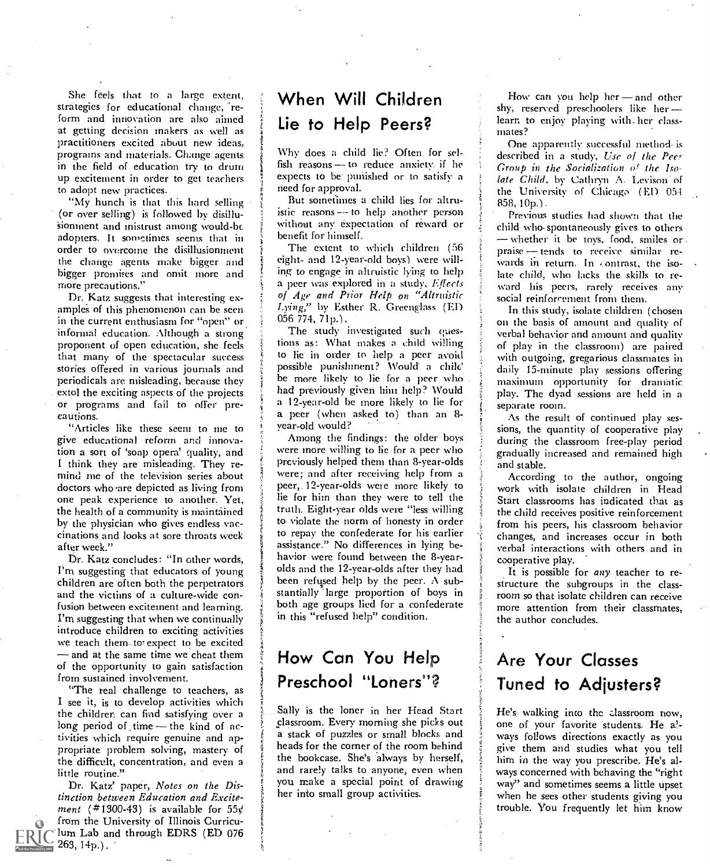She feels that to a large extent, strategies for educational change, 'reform and innovation are also aimed at getting decision makers as well as practitioners excited about new ideas, programs and materials. Change agents in the field of education try to drum up excitement in order to get teachers to adopt new practices.

"My hunch is that this hard selling (or over selling) is followed by disillusionment and mistrust among would-be adopters. It sometimes seems that in order to overcome the disillusionment the change agents make bigger and bigger promises and omit more and more precautions."

Dr. Katz suggests that interesting examples of this phenomenon can be seen in the current enthusiasm for "open" or informal education. Although a strong proponent of -open education, she feels that many of the spectacular success stories offered in various journals and periodicals are misleading, because they extol the exciting aspects of the projects and previously given him help? Would or programs and fail to offer precautions.

"Articles like these seem to me to give educational reform and innovation a sort of 'soap opera' quality, and I think they are misleading. They remind me of the television series about doctors who ,are depicted as living from one peak experience to another. Yet, the health of a community is maintained by the physician who gives endless vaccinations and looks at sore throats week after week."

Dr. Katz concludes: "In other words, I'm suggesting that educators of young children are often both the perpetrators and the victims of a culture-wide confusion between excitement and learning. I'm suggesting that when we continually introduce children to exciting activities we teach them. to expect to be excited - and at the same time we cheat them of the opportunity to gain satisfaction from sustained involvement.

"The real challenge to teachers, as I see it, is to develop activities which the children can find satisfying over a long period of time  $-$  the kind of activities which require genuine and appropriate problem solving, mastery of the difficult, concentration, and even a little routine."

Dr. Katz' paper, Notes on the Distinction between Education and Excitement (#1300-43) is available for  $55¢$ from the University of Illinois Curriculum Lab and through EDRS (ED 076 263, 14p.).

# When Will Children Lie to Help Peers?

Why does a child lie? Often for selfish reasons  $-$  to reduce anxiety, if he expects to be punished or to satisfy a need for approval.

But sometimes a child lies for altruistic reasons --- to help another person without any expectation of reward or benefit for himself.

The extent to which children (56 eight- and 12-year-old boys) were willeight- and 12-year-old boys) were will-<br>ing to engage in altruistic lying to help<br>ing to engage in altruistic lying to help<br>into the child who help to help a peer was explored in a study, Effects of Age and Prior Help on "Altruistic Lying," by Esther R. Greenglass (ED 056 774, 71p.).

The study investigated such questions as: What makes a child willing to lie in order to help a peer avoid possible punishment? Would a chile' be more likely to lie for a peer who had previously given him help? Would a peer (when asked to) than an 8year -old would?

Among the findings: the older boys were more willing to lie for a peer who previously helped them than 8-year-olds were; and after receiving help from a **According** to the author, ongoing peer,. 12-year-olds were more likely to lie for him than they were to tell the truth. Eight-year olds were "less willing to violate the norm of honesty in order to repay the confederate for his earlier assistance." No differences in lying behavior were found between the 8-yearolds and the 12-year-olds after they had been refused help by the peer.  $\Lambda$  substantially large proportion of boys in both age groups lied for a confederate in this "refused help" condition.

### How Can You Help Preschool "Loners"?

Sally is the loner in her Head Start classroom. Every morning she picks out a stack of puzzles or small blocks and heads for the corner of the room behind the bookcase. She's always by herself, and rarely talks to anyone, even when you make a special point of drawing her into small group activities.

How can you help her $-$  and other shy, reserved preschoolers like her learn to enjoy playing with- her classmates?

One apparently successful method is described in a study, Use of the Peer Group in the Socialization  $\phi^r$  the Isolate Child, by Cathryn A. Levison of the University of Chicago (ED 054 858, 10p.).

Previous studies had shown that the child who-spontaneously gives to others whether it be toys, food, smiles or praise - tends to receive similar relate child, who lacks the skills to reward his peers, rarely receives any social reinforcement from them.

In this study, isolate children (chosen on the basis of amount and quality of verbal behavior and amount and quality of play in the classroom) are paired with outgoing, gregarious classmates in daily 15-minute play sessions offering maximum opportunity for dramatic play. The dyad sessions are held in a separate room.

As the result of continued play sessions, the quantity of cooperative play during the classroom free-play period gradually increased and remained high and stable.

work with isolate children in Head Start classrooms has indicated that as the child receives positive reinforcement from his peers, his classroom behavior changes, and increases occur in both verbal interactions with others and in cooperative play.

It is possible for any teacher to restructure the subgroups in the classroom so that isolate children can receive more attention from their classmates, the author concludes.

# Are Your Classes Tuned to Adjusters?

He's walking into the zlassroom now, one of your favorite students. He ways follows directions exactly as you give them and studies what you tell him in the way you prescribe. He's always concerned with behaving the "right way" and sometimes seems a little upset when he sees other students giving you trouble. You frequently let him know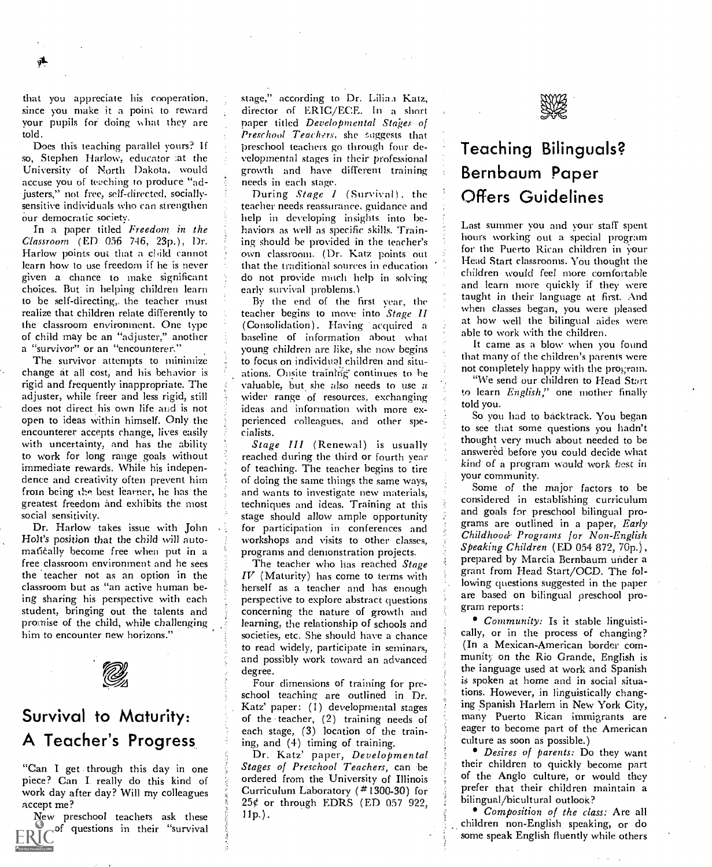that you appreciate his cooperation, since you make it a point to reward your pupils for doing what they are told.

Does this teaching parallel yours? If so, Stephen Harlow, educator at the University of North Dakota, would accuse you of teaching to produce "adjusters," not free, self-directed, sociallysensitive individuals who can strengthen our democratic society.

In a paper tided Freedom in the Classroom (ED 056 746, 23p.), Dr. Harlow points out that a child cannot learn how to use freedom if he is never given a chance to make significant and the not provide much he choices. But in helping children learn and early survival problems.) choices. But in helping children learn to be self-directing,. the teacher must realize that children relate differently to the classroom environment. One type of child may be an "adjuster," another a "survivor" or an "encounterer."

The survivor attempts to minimize change at all cost, and his behavior is rigid and frequently inappropriate. The adjuster, while freer and less rigid, still does not direct his own life and is not open to ideas within himself. Only the encounterer accepts change, lives easily with uncertainty, and has the ability to work for long range goals without immediate rewards. While his independence and creativity often prevent him from being the best learner, lie has the greatest freedom and exhibits the most social sensitivity.

Dr. Harlow takes issue with John Holt's position that the child will automatically become free when put in a free classroom environment and he sees the teacher not as an option in the classroom but as "an active human being sharing his perspective with each student, bringing out the talents and promise of the child, while challenging him to encounter new horizons."



### Survival to Maturity: A Teacher's Progress and (4) timing of training.

"Can I get through this day in one piece? Can I. really do this kind of work day after day? Will my colleagues accept me?

New preschool teachers ask these  $\frac{1}{8}$  11p.). of questions in their "survival

stage," according to Dr. Lilian Katz, director of ERIC/ECE. In <sup>a</sup> short paper titled Developmental Stages of Preschool Teachers, she suggests that preschool teachers go through four developmental stages in their professional growth and have different training needs in each stage.<br>During Stage I (Survival), the

teacher needs reassurance. guidance and help in developing insights into behaviors as well as specific skills. Training should be provided in the teacher's own classroom. (Dr. Katz points out that the traditional sources in education do not provide much help in solving

By the end of the first year, the teacher begins to move into Stage II (Consolidation). Having acquired a baseline of information about what young children are like, she now begins to focus on individual children and situations. Onsite training' continues to he wider range of resources, exchanging ideas and information with more experienced colleagues, and other specialists.

Stage III (Renewal) is usually reached during the third or fourth year of teaching. The teacher begins to tire of doing the same things the same ways, and wants to investigate new materials, techniques and ideas. Training at this stage should allow ample opportunity for participation in conferences and workshops and visits to other classes, programs and demonstration projects.

 $IV$  (Maturity) has come to terms with herself as a teacher and has enough perspective to explore abstract questions concerning the nature of growth and learning, the relationship of schools and societies, etc. She should have a chance to read widely, participate in seminars, and possibly work toward an advanced degree.

Four dimensions of training for preschool teaching are outlined in Dr. Katz' paper: (1) developmental stages ing Spanish Harlem in New York City, of the teacher, (2) training needs of each stage, (3) location of the train-

Dr. Katz' paper, Developmental Stages of Preschool Teachers, can be ordered from the University of Illinois Curriculum Laboratory (\*1300-30) for  $25¢$  or through EDRS (ED 057 922,



# Teaching Bilinguals? Bernbaum Paper Offers Guidelines

Last summer you and your staff spent hours working out a special program for the Puerto Rican children in your Head Start classrooms. You thought the children would feel more comfortable and learn more quickly if they were taught in their language at first. And when classes began, you were pleased at how well the 'bilingual aides were able to work with the children.

It came as a blow when you found that many of the children's parents were not completely happy with the program.

"We send our children to Head Start to learn English," one mother finally told you.

So you had to backtrack. You began to see that some questions you hadn't thought very much about needed to be answered before you could decide what kind of a program would work best in your community.

The teacher who has reached  $Stage$  prepared by Marcia Bernbaum under a Some of the major factors to be considered in establishing curriculum and goals for preschool bilingual programs are outlined in a paper, Early Childhood- Programs for Non-English  $S$ peaking Children (ED 054 872, 70p.), grant from Head Start/OCD. The following questions suggested in the paper are based on bilingual preschool program reports:

> Community: Is it stable linguistically, or in the process of changing? (In a Mexican-American border community on the Rio Grande, English is the ianguage used at work and Spanish is spoken at home and in social situations. However, in linguistically changmany Puerto Rican immigrants are eager to become part of the American culture as soon as possible.)

> Desires of parents: Do they want their children to quickly become part of the Anglo culture, or would they prefer that their children maintain a bilingual/bicultural outlook?

> Composition of the class: Are all children non-English speaking, or do some speak English fluently while others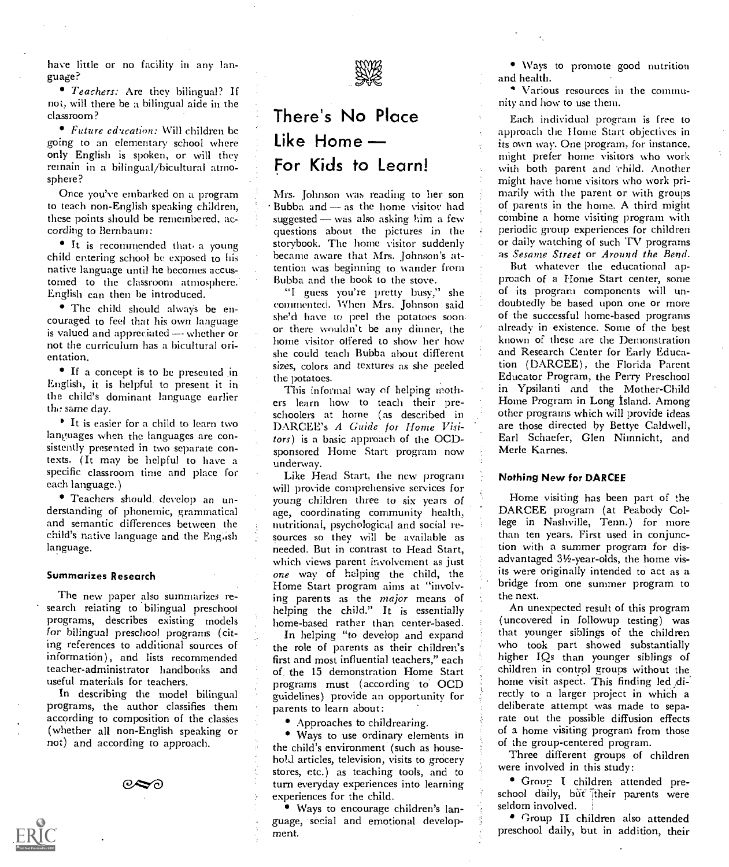have little or no facility in any language?

• Teachers: Are they bilingual? If not, will there be a bilingual aide in the classroom?

Future education: Will children be going to an elementary school where only English is spoken, or will they remain in a bilingual/bicultural atmosphere?

Once you've embarked on a program to teach non-English speaking children, these points should be remembered, according to Bernbaum:

It is recommended that. a young child entering school be exposed to his native language until he becomes accustomed to the classroom atmosphere. English can then be introduced.

The child should always be enis valued and appreciated  $\rightarrow$  whether or not the curriculum has a bicultural orientation.

If a concept is to be presented in English, it is helpful to present it in the child's dominant language earlier the same day.

<sup>If</sup> It is easier for a child to learn two languages when the languages are consistently presented in two separate contexts. (It may be helpful to have a specific classroom time and place for each language.)

Teachers should. develop an understanding of phonemic, grammatical and semantic differences between the language.

### Summarizes Research

The new paper also summarizes research relating to bilingual preschool programs, describes existing models for bilingual preschool programs (citing references to additional sources of information), and lists recommended teacher-administrator handbooks and useful materials for teachers.

In describing the model bilingual programs, the author classifies them according to composition of the classes (whether all non-English speaking or not) and according to approach.



# There's No Place Like Home For Kids to Learn!

Mrs. Johnson was reading to her son Bubba and  $-$  as the home visitor had suggested  $-$  was also asking him a few questions about the pictures in the storybook. The home visitor suddenly became aware that Mrs. Johnson's attention was beginning to wander from Bubba and the book to the stove.

couraged to feel that his own language she'd have to peel the potatoes soon-"I guess you're pretty busy," she commented. When Mrs. Johnson said or there wouldn't be any dinner, the home visitor offered to show her how she could teach Bubba about different sizes, colors and textures as she peeled the potatoes.

> This informal way of helping moth ers learn how to teach their preschoolers at home (as described in DARCEE's A Guide for Home Visitors) is a basic approach of the OCDsponsored Home Start program now underway.

child's native language and the English sources so they will be available as Like Head Start, the new program will provide comprehensive services for young children three to six years of age, coordinating community health, nutritional, psychological and social reneeded. But in contrast to Head Start, which views parent involvement as just one way of helping the child, the Home Start program aims at "involving parents as the major means of helping the child." It is essentially home-based rather than center-based.

> In helping "to develop and expand the role of parents as their children's first and most influential teachers," each of the 15 demonstration Home Start programs must (according to OCD guidelines) provide an opportunity for parents to learn about:

Approaches to childrearing.

• Ways to use ordinary elements in the child's environment (such as household articles, television, visits to grocery stores, etc.) as teaching tools, and to turn everyday experiences into learning experiences for the child.

Ways to encourage children's language, social and emotional development.

Ways to promote good nutrition and health.

Various resources in the communityand how to use them.

Each individual program is free to approach the Home Start objectives in its own way. One program, for instance. might prefer home visitors who work with both parent and child. Another might have home visitors who work primarily with the parent or with groups of parents in the home. A third might combine a home visiting program with periodic group experiences for children or daily watching of such TV programs as Sesame Street or Around the Bend.

But whatever the educational approach of a Home Start center, some of its program components will undoubtedly be based upon one or more of the successful home-based programs already in existence. Some of the best known of these are the Demonstration and Research Center for Early Education (DARCEE), the Florida Parent Educator Program, the Perry Preschool in Ypsilanti and the Mother-Child Home Program in Long Island. Among other programs which will provide ideas are those directed by Bettye Caldwell, Earl Schaefer, Glen Nimnicht, and Merle Karnes.

### Nothing New for DARCEE

Home visiting has been part of the DARCEE program (at Peabody College in Nashville, Tenn.) for more than ten years. First used in conjunction with a summer program for disadvantaged 31/2-year-olds, the home visits were originally intended to act as a bridge from one summer program to the next.

An unexpected result of this program (uncovered in followup testing) was that younger siblings of the children who took part showed substantially higher IQs than younger siblings of children in control groups without the home visit aspect. This finding led directly to a larger project in which a deliberate attempt was made to separate out the possible diffusion effects of a home visiting program from those of the group-centered program.

Three different groups of children were involved in this study:

Group I children attended preschool daily, but their parents were seldom involved.

Group H children also attended preschool daily, but in addition, their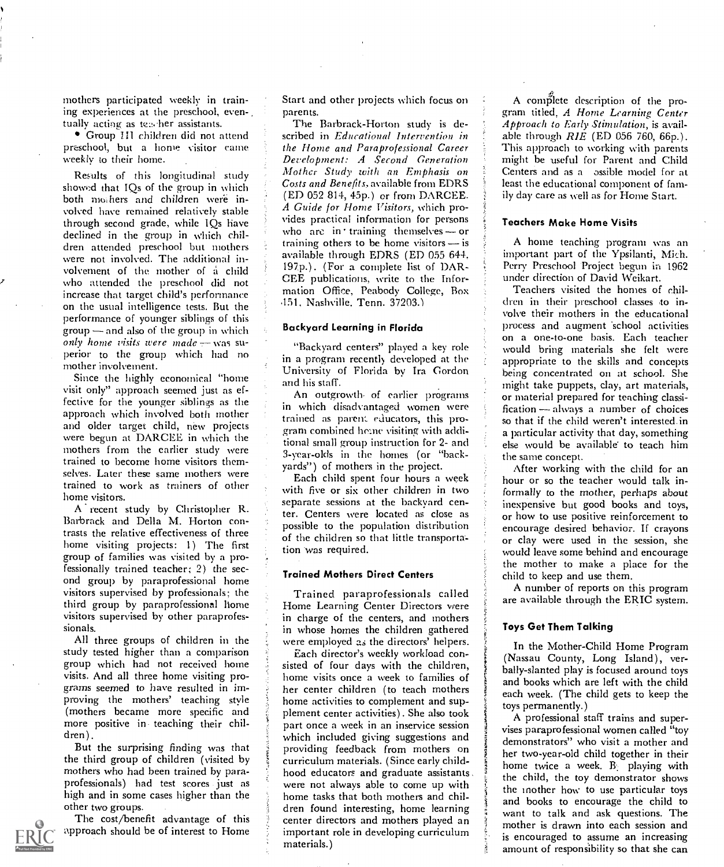mothers participated weekly in training experiences at the preschool, eventually acting as teacher assistants.

Group III children did not attend preschool, but a home visitor came weekly to their home.

Results of this longitudinal study show:d that IQs of the group in which both mothers and children were involved have remained relatively stable through second grade, while IQs have declined in the group in which children attended preschool but mothers were not involved. The additional involvement of the mother of a child who attended the preschool did not increase that target child's performance on the usual intelligence tests. But the performance of younger siblings of this  $group \rightarrow and also of the group in which$ only home visits were made  $-$  was superior to the group which had no mother involvement.

Since the highly economical "home visit only" approach seemed just as effective for the younger siblings as the approach which involved both mother and older target child, new projects were begun at DARCEE in which the mothers from the earlier study were trained to become home visitors themselves. Later these same mothers were trained to work as trainers of other home visitors.

A recent study by Christopher R. Barbrack and Della M. Horton contrasts the relative effectiveness of three home visiting projects: 1) The first group of families was visited by a professionally trained teacher; 2) the second group by paraprofessional home visitors supervised by professionals; the third group by paraprofessional home visitors supervised by other paraprofessionals.

All three groups of children in the study tested higher than a comparison group which had not received home visits. And all three home visiting programs seemed to have resulted in improving the mothers' teaching style (mothers became more specific and more positive in teaching their children).

But the surprising finding was that the third group of children (visited by mothers who had been trained by paraprofessionals) had test scores just as high and in some cases higher than the other two groups.

The cost/benefit advantage of this approach should be of interest to Home Start and other projects which focus on parents.

The Barbrack-Horton study is described in Educational Intervention in the Home and Paraprofessional Career Development: A Second Generation Mother Study with an Emphasis on Costs and Benefits, available from EDRS (ED 052 814, 45p.) or from DARCEE. A Guide for Home Visitors, which provides practical information for persons who are in training themselves  $-$  or training others to be home visitors  $-$  is available through EDRS (ED 055 644. 197p.). (For a complete list of DAR-GEE publications, write to the Information Office, Peabody College, Box 151, Nashville. Tenn. 37203.1

### Backyard Learning in Florida

"Backyard centers" played a key role in a program recently developed at the University of Florida by Ira Gordon and his staff.

An outgrowth. of earlier programs in which disadvantaged women were trained as parent. educators, this program combined home visiting with additional small group instruction for 2- and 3-year-olds in the homes (or "backyards") of mothers in the project.

Each child spent four hours a week with five or six other children in two separate sessions at the backyard center. Centers were located as close as possible to the population distribution of the children so that little transportation was required.

### Trained Mothers Direct Centers

Trained paraprofessionals called Home Learning Center Directors were in charge of the centers, and mothers in whose homes the children gathered were employed as the directors' helpers.

Each director's weekly workload consisted of four days with the children, home visits once a week to families of her center children (to teach mothers home activities to complement and supplement center activities). She also took part once a week in an inservice session which included giving suggestions and providing feedback from mothers on curriculum materials. (Since early childhood educators and graduate assistants were not always able to come up with home tasks that both mothers and children found interesting, home learning center directors and mothers played an important role in developing curriculum materials.)

A complete description of the program titled, A Home Learning Center Approach to Early Stimulation, is available through  $RIE$  (ED 056 760, 66p.). This approach to working with parents might be useful for Parent and Child Centers and as a ossible model for at least the educational component of family day care as well as for Home Start.

### Teachers Make Home Visits

A home teaching program was an important part of the Ypsilanti, Mich. Perry Preschool Project begun in 1962 under direction of David Weikart.

Teachers visited the homes of children in their preschool classes to involve their mothers in the educational process and augment school activities on a one-to-one basis. Each teacher would bring materials she felt were appropriate to the skills and concepts being concentrated on at school. She might take puppets, clay, art materials, or material prepared for teaching classification  $-$  always a number of choices so that if the child weren't interested. in a particular activity that day, something else would be available to teach him the same concept.

After working with the child for an hour or so the teacher would talk informally to the mother, perhaps about inexpensive but good books and toys, or how to use positive reinforcement to encourage desired behavior. If crayons or clay were used in the session, she would leave some behind and encourage the mother to make a place for the child to keep and use them.

A number of reports on this program are available through the ERIC system.

### Toys Get Them Talking

In the Mother-Child Home Program (Nassau County, Long Island), verbally-slanted play is focused around toys and books which are left with the child each week. (The child gets to keep the toys permanently.)

A professional staff trains and supervises paraprofessional women called "toy demonstrators" who visit a mother and her two-year-old child together in their home twice a week.  $B_1$  playing with the child, the toy demonstrator shows the mother how to use particular toys and books to encourage the child to want to talk and ask questions. The mother is drawn into each session and is encouraged to assume an increasing amount of responsibility so that she can

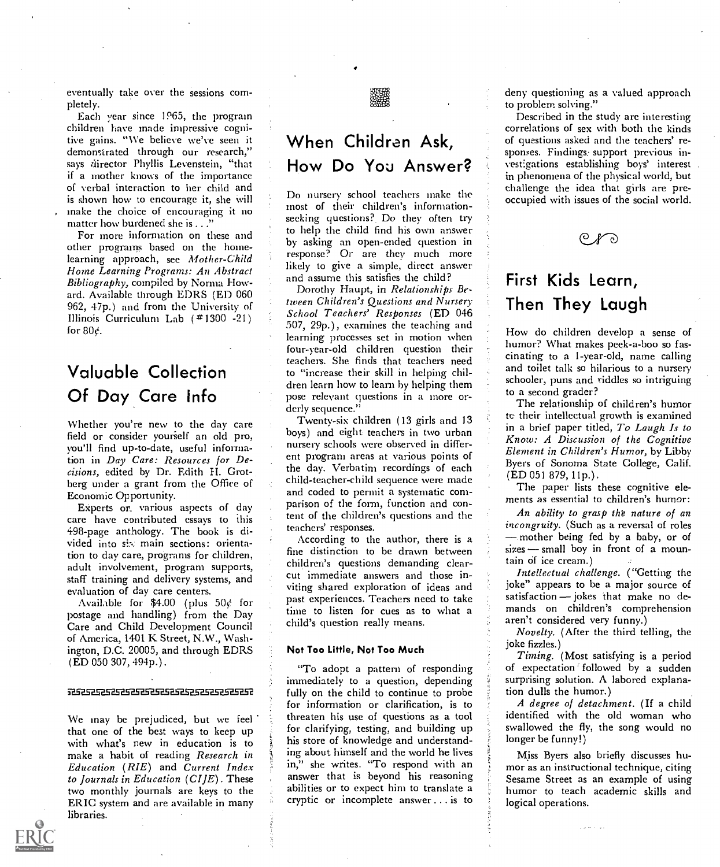eventually take over the sessions completely.

Each year since 1965, the program children have made impressive cognitive gains. "We believe we've seen it demonstrated through our research," says director Phyllis Levenstein, "that if a mother knows of the importance of verbal interaction to her child and is shown how to encourage it, she will make the choice of encouraging it no matter how burdened she is  $\ldots$ ."

For more information on these and other programs based on the homelearning approach, see Mother-Child Home Learning Programs: An Abstract Bibliography, compiled by Norma Howard. Available through EDRS (ED 060 962, 47p.) and from the University of Illinois Curriculum Lab ( #1300 -21) for  $80<sub>c</sub>$ .

### Valuable Collection Of Day Care info

Whether you're new to the day care field or consider yourself an old pro, you'll find up-to-date, useful information in Day Care: Resources for Decisions, edited by Dr. Edith H. Grotberg under a grant from the Office of Economic Opportunity.

EXperts or. various aspects of day care have contributed essays to this 498-page anthology. The book is divided into six main sections: orientation to day care, programs for children, adult involvement, program supports, staff training and delivery systems, and evaluation of day care centers.

Available for \$4.00 (plus  $50¢$  for postage and handling) from the Day Care and Child Development Council of America, 1401 K Street, N.W., Washington, D.C. 20005, and through EDRS (ED 050 307, 494p.).

#### 7252525252525252525252525353

We may be prejudiced, but we feel that one of the best ways to keep up with what's new in education is to make a habit of reading Research in<br>Education (RIE) and Current Index to Journals in Education  $(CI/E)$ . These two monthly journals are keys to the ERIC system and are available in many libraries.



# When Children Ask, How Do You Answer?

Do nursery school teachers make the most of their children's informationseeking questions?. Do they often try to help the child find his own answer by asking an open-ended question in response? Or are they much more likely to give a simple, direct answer and assume this satisfies the child?

Dorothy Haupt, in Relationships Between Children's Questions and Nursery School Teachers' Responses (ED 046 507, 29p.), examines the teaching and learning processes set in motion when four-year-old children question their teachers. She finds that teachers need to "increase their skill in helping children learn how to learn by helping them pose relevant questions in a more orderly sequence."

Twenty-six children (13 girls and 13 boys) and eight teachers in two urban nursery schools were observed in different program areas at various points of the day. Verbatim recordings of each child-teacher-child sequence were made and coded to permit a systematic comparison of the form, function and content of the children's questions and the teachers' responses.

According to the author, there is a fine distinction to be drawn between children's questions demanding clearcut immediate answers and those inviting shared exploration of ideas and past experiences. Teachers need to take satisfaction – jokes that make no de-<br>time to listen for cues as to what a time to listen for cues as to what a child's question really means.

### Not Too Little, Not Too Much

"To adopt a pattern of responding immediately to a question, depending fully on the child to continue to probe for information or clarification, is to threaten his use of questions as a tool for clarifying, testing, and building up his store of knowledge and understanding about himself and the world he lives in," she writes. "To respond with an answer that is beyond his reasoning abilities or to expect him to translate a cryptic or incomplete answer ... is to

deny questioning as a valued approach to problem solving."

Described in the study are interesting correlations of sex with both the kinds of questions asked and the teachers' responses. Findings, support previous investigations establishing boys' interest in phenomena of the physical world, but challenge the idea that girls are preoccupied with issues of the social world.

### First Kids Learn, Then They Laugh

How do children develop a sense of humor? What makes peek-a-boo so fascinating to a 1-year-old, name calling and toilet talk so hilarious to a nursery schooler, puns and riddles so intriguing to a second grader?

The relationship of children's humor to their intellectual growth is examined in a brief paper titled, To Laugh Is to Know: A Discussion of the Cognitive Element in Children's Humor, by Libby Byers of Sonoma State College, Calif. (ED 051 879, 11p.).

The paper lists these cognitive elements as essential to children's humor:

An ability to grasp the nature of an incongruity. (Such as a reversal of roles - mother being fed by a baby, or of  $sizes$  - small boy in front of a mountain of ice cream.)

Intellectual challenge. ("Getting the joke" appears to be a major source of satisfaction - jokes that make no dearen't considered very funny.)

Novelty. (After the third telling, the joke fizzles.)

Timing. (Most satisfying is a period of expectation' followed by a sudden surprising solution. A labored explanation dulls the humor.)

A degree of detachment. (If a child identified with the old woman who swallowed the fly, the song would no longer be funny!)

Miss Byers also briefly discusses humor as an instructional technique, citing Sesame Street as an example of using humor to teach academic skills and logical operations.